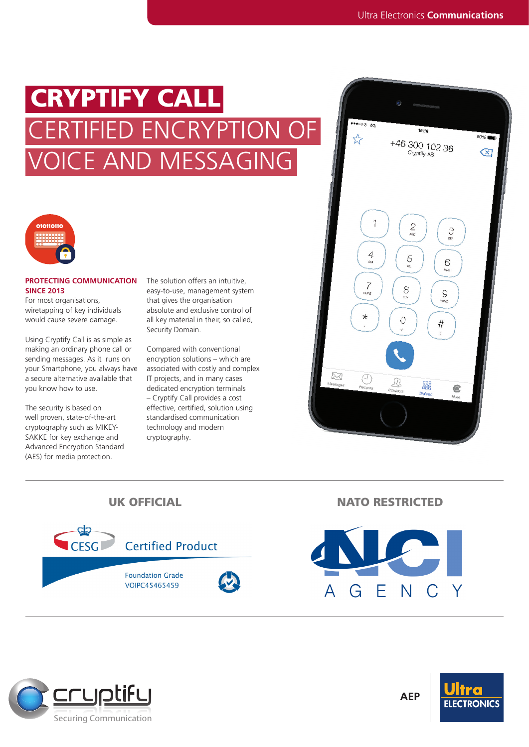# CRYPTIFY CALL VOICE AND MESSAGING CERTIFIED ENCRYPTION OF





# **PROTECTING COMMUNICATION SINCE 2013**

For most organisations, wiretapping of key individuals would cause severe damage.

Using Cryptify Call is as simple as making an ordinary phone call or sending messages. As it runs on your Smartphone, you always have a secure alternative available that you know how to use.

The security is based on well proven, state-of-the-art cryptography such as MIKEY-SAKKE for key exchange and Advanced Encryption Standard (AES) for media protection.

The solution offers an intuitive, easy-to-use, management system that gives the organisation absolute and exclusive control of all key material in their, so called, Security Domain.

Compared with conventional encryption solutions – which are associated with costly and complex IT projects, and in many cases dedicated encryption terminals – Cryptify Call provides a cost effective, certified, solution using standardised communication technology and modern cryptography.





 $\overline{\mathsf{N}}$ G  $\Delta$ F